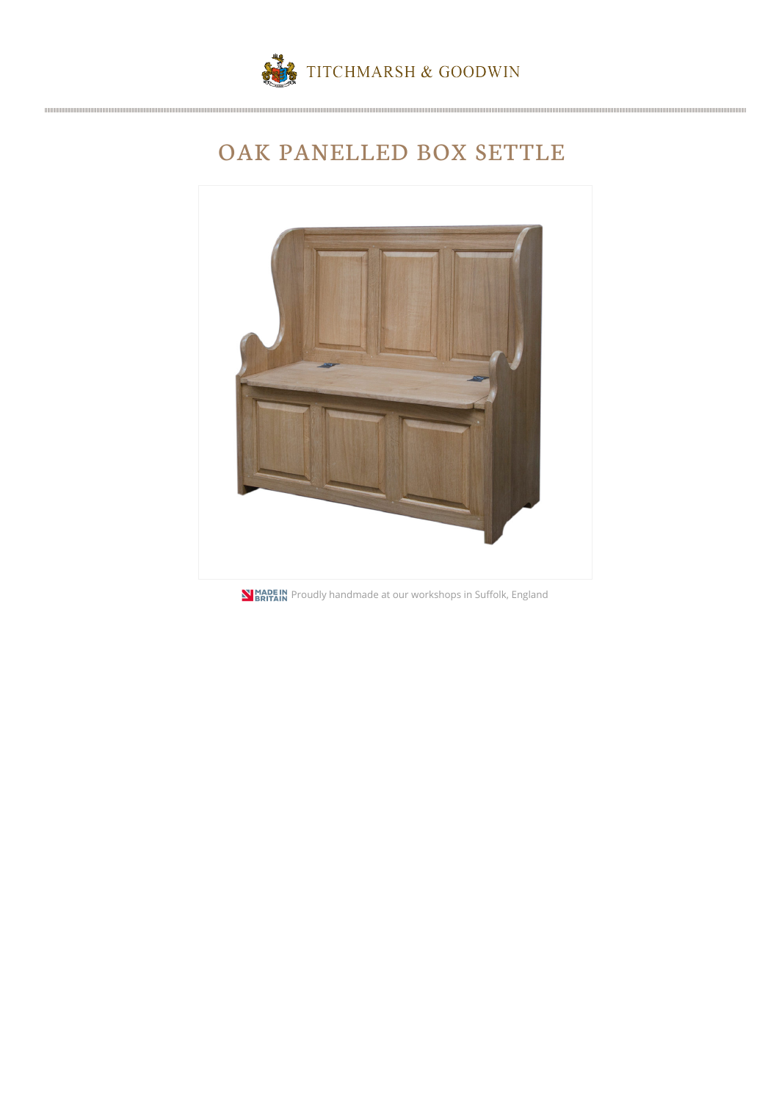

## OAK PANELLED BOX SETTLE



**N BRITAIN** Proudly handmade at our workshops in Suffolk, England